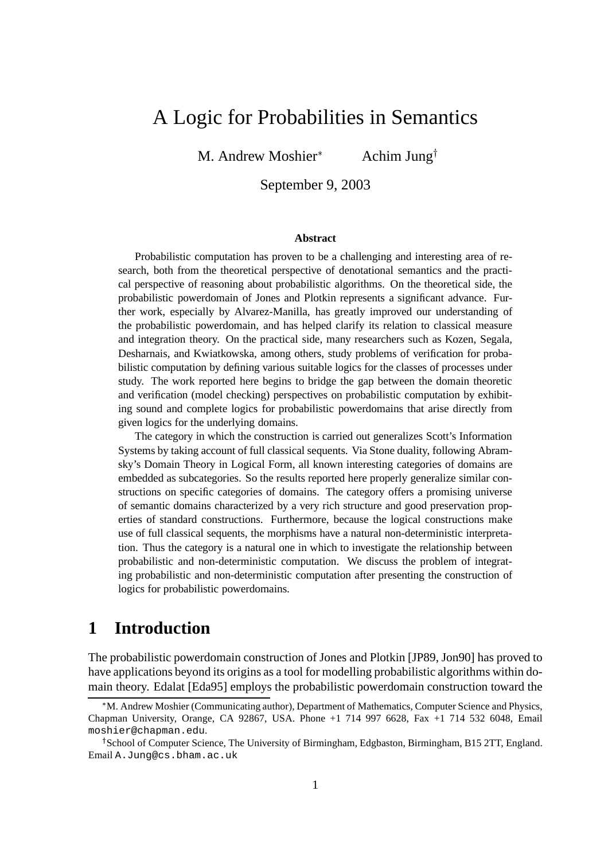# A Logic for Probabilities in Semantics

M. Andrew Moshier<sup>\*</sup> Achim Jung<sup>†</sup>

September 9, 2003

#### **Abstract**

Probabilistic computation has proven to be a challenging and interesting area of research, both from the theoretical perspective of denotational semantics and the practical perspective of reasoning about probabilistic algorithms. On the theoretical side, the probabilistic powerdomain of Jones and Plotkin represents a significant advance. Further work, especially by Alvarez-Manilla, has greatly improved our understanding of the probabilistic powerdomain, and has helped clarify its relation to classical measure and integration theory. On the practical side, many researchers such as Kozen, Segala, Desharnais, and Kwiatkowska, among others, study problems of verification for probabilistic computation by defining various suitable logics for the classes of processes under study. The work reported here begins to bridge the gap between the domain theoretic and verification (model checking) perspectives on probabilistic computation by exhibiting sound and complete logics for probabilistic powerdomains that arise directly from given logics for the underlying domains.

The category in which the construction is carried out generalizes Scott's Information Systems by taking account of full classical sequents. Via Stone duality, following Abramsky's Domain Theory in Logical Form, all known interesting categories of domains are embedded as subcategories. So the results reported here properly generalize similar constructions on specific categories of domains. The category offers a promising universe of semantic domains characterized by a very rich structure and good preservation properties of standard constructions. Furthermore, because the logical constructions make use of full classical sequents, the morphisms have a natural non-deterministic interpretation. Thus the category is a natural one in which to investigate the relationship between probabilistic and non-deterministic computation. We discuss the problem of integrating probabilistic and non-deterministic computation after presenting the construction of logics for probabilistic powerdomains.

## **1 Introduction**

The probabilistic powerdomain construction of Jones and Plotkin [JP89, Jon90] has proved to have applications beyond its origins as a tool for modelling probabilistic algorithms within domain theory. Edalat [Eda95] employs the probabilistic powerdomain construction toward the

M. Andrew Moshier (Communicating author), Department of Mathematics, Computer Science and Physics, Chapman University, Orange, CA 92867, USA. Phone +1 714 997 6628, Fax +1 714 532 6048, Email moshier@chapman.edu.

<sup>&</sup>lt;sup>†</sup> School of Computer Science, The University of Birmingham, Edgbaston, Birmingham, B15 2TT, England. Email A.Jung@cs.bham.ac.uk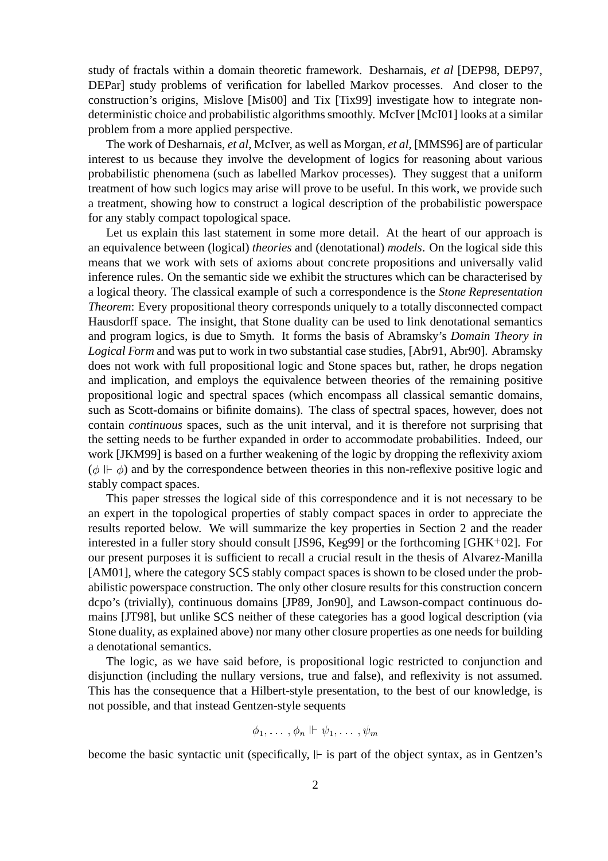study of fractals within a domain theoretic framework. Desharnais, *et al* [DEP98, DEP97, DEPar] study problems of verification for labelled Markov processes. And closer to the construction's origins, Mislove [Mis00] and Tix [Tix99] investigate how to integrate nondeterministic choice and probabilistic algorithms smoothly. McIver [McI01] looks at a similar problem from a more applied perspective.

The work of Desharnais, *et al*, McIver, as well as Morgan, *et al*, [MMS96] are of particular interest to us because they involve the development of logics for reasoning about various probabilistic phenomena (such as labelled Markov processes). They suggest that a uniform treatment of how such logics may arise will prove to be useful. In this work, we provide such a treatment, showing how to construct a logical description of the probabilistic powerspace for any stably compact topological space.

Let us explain this last statement in some more detail. At the heart of our approach is an equivalence between (logical) *theories* and (denotational) *models*. On the logical side this means that we work with sets of axioms about concrete propositions and universally valid inference rules. On the semantic side we exhibit the structures which can be characterised by a logical theory. The classical example of such a correspondence is the *Stone Representation Theorem*: Every propositional theory corresponds uniquely to a totally disconnected compact Hausdorff space. The insight, that Stone duality can be used to link denotational semantics and program logics, is due to Smyth. It forms the basis of Abramsky's *Domain Theory in Logical Form* and was put to work in two substantial case studies, [Abr91, Abr90]. Abramsky does not work with full propositional logic and Stone spaces but, rather, he drops negation and implication, and employs the equivalence between theories of the remaining positive propositional logic and spectral spaces (which encompass all classical semantic domains, such as Scott-domains or bifinite domains). The class of spectral spaces, however, does not contain *continuous* spaces, such as the unit interval, and it is therefore not surprising that the setting needs to be further expanded in order to accommodate probabilities. Indeed, our work [JKM99] is based on a further weakening of the logic by dropping the reflexivity axiom  $(\phi \Vdash \phi)$  and by the correspondence between theories in this non-reflexive positive logic and stably compact spaces.

This paper stresses the logical side of this correspondence and it is not necessary to be an expert in the topological properties of stably compact spaces in order to appreciate the results reported below. We will summarize the key properties in Section 2 and the reader interested in a fuller story should consult [JS96, Keg99] or the forthcoming [GHK<sup>+</sup> 02]. For our present purposes it is sufficient to recall a crucial result in the thesis of Alvarez-Manilla [AM01], where the category SCS stably compact spaces is shown to be closed under the probabilistic powerspace construction. The only other closure results for this construction concern dcpo's (trivially), continuous domains [JP89, Jon90], and Lawson-compact continuous domains [JT98], but unlike SCS neither of these categories has a good logical description (via Stone duality, as explained above) nor many other closure properties as one needs for building a denotational semantics.

The logic, as we have said before, is propositional logic restricted to conjunction and disjunction (including the nullary versions, true and false), and reflexivity is not assumed. This has the consequence that a Hilbert-style presentation, to the best of our knowledge, is not possible, and that instead Gentzen-style sequents

$$
\phi_1, \ldots, \phi_n \Vdash \psi_1, \ldots, \psi_m
$$

become the basic syntactic unit (specifically,  $\mathbb F$  is part of the object syntax, as in Gentzen's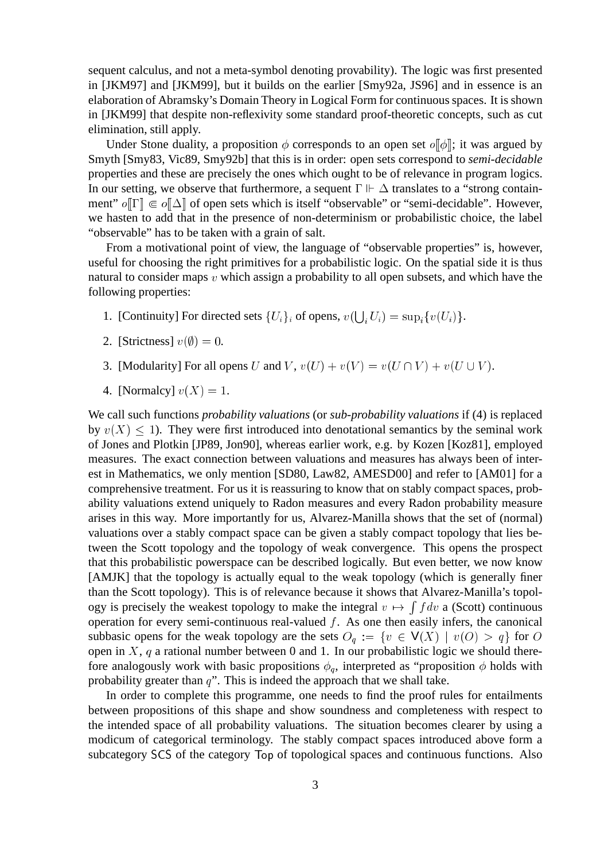sequent calculus, and not a meta-symbol denoting provability). The logic was first presented in [JKM97] and [JKM99], but it builds on the earlier [Smy92a, JS96] and in essence is an elaboration of Abramsky's Domain Theory in Logical Form for continuous spaces. It is shown in [JKM99] that despite non-reflexivity some standard proof-theoretic concepts, such as cut elimination, still apply.

Under Stone duality, a proposition  $\phi$  corresponds to an open set  $o[\phi]$ ; it was argued by Smyth [Smy83, Vic89, Smy92b] that this is in order: open sets correspond to *semi-decidable* properties and these are precisely the ones which ought to be of relevance in program logics. In our setting, we observe that furthermore, a sequent  $\Gamma \Vdash \Delta$  translates to a "strong containment"  $o[\Gamma] \in o[\![\Delta]\!]$  of open sets which is itself "observable" or "semi-decidable". However, we hasten to add that in the presence of non-determinism or probabilistic choice, the label "observable" has to be taken with a grain of salt.

From a motivational point of view, the language of "observable properties" is, however, useful for choosing the right primitives for a probabilistic logic. On the spatial side it is thus natural to consider maps v which assign a probability to all open subsets, and which have the following properties:

- 1. [Continuity] For directed sets  $\{U_i\}_i$  of opens,  $v(\bigcup_i U_i) = \sup_i \{v(U_i)\}.$
- 2. [Strictness]  $v(\emptyset) = 0$ .
- 3. [Modularity] For all opens U and V,  $v(U) + v(V) = v(U \cap V) + v(U \cup V)$ .
- 4. [Normalcy]  $v(X) = 1$ .

We call such functions *probability valuations* (or *sub-probability valuations* if (4) is replaced by  $v(X) \leq 1$ ). They were first introduced into denotational semantics by the seminal work of Jones and Plotkin [JP89, Jon90], whereas earlier work, e.g. by Kozen [Koz81], employed measures. The exact connection between valuations and measures has always been of interest in Mathematics, we only mention [SD80, Law82, AMESD00] and refer to [AM01] for a comprehensive treatment. For us it is reassuring to know that on stably compact spaces, probability valuations extend uniquely to Radon measures and every Radon probability measure arises in this way. More importantly for us, Alvarez-Manilla shows that the set of (normal) valuations over a stably compact space can be given a stably compact topology that lies between the Scott topology and the topology of weak convergence. This opens the prospect that this probabilistic powerspace can be described logically. But even better, we now know [AMJK] that the topology is actually equal to the weak topology (which is generally finer than the Scott topology). This is of relevance because it shows that Alvarez-Manilla's topology is precisely the weakest topology to make the integral  $v \mapsto \int f dv$  a (Scott) continuous operation for every semi-continuous real-valued  $f$ . As one then easily infers, the canonical subbasic opens for the weak topology are the sets  $O_q := \{v \in V(X) \mid v(O) > q\}$  for O open in  $X$ ,  $q$  a rational number between 0 and 1. In our probabilistic logic we should therefore analogously work with basic propositions  $\phi_q$ , interpreted as "proposition  $\phi$  holds with probability greater than  $q$ ". This is indeed the approach that we shall take.

In order to complete this programme, one needs to find the proof rules for entailments between propositions of this shape and show soundness and completeness with respect to the intended space of all probability valuations. The situation becomes clearer by using a modicum of categorical terminology. The stably compact spaces introduced above form a subcategory SCS of the category Top of topological spaces and continuous functions. Also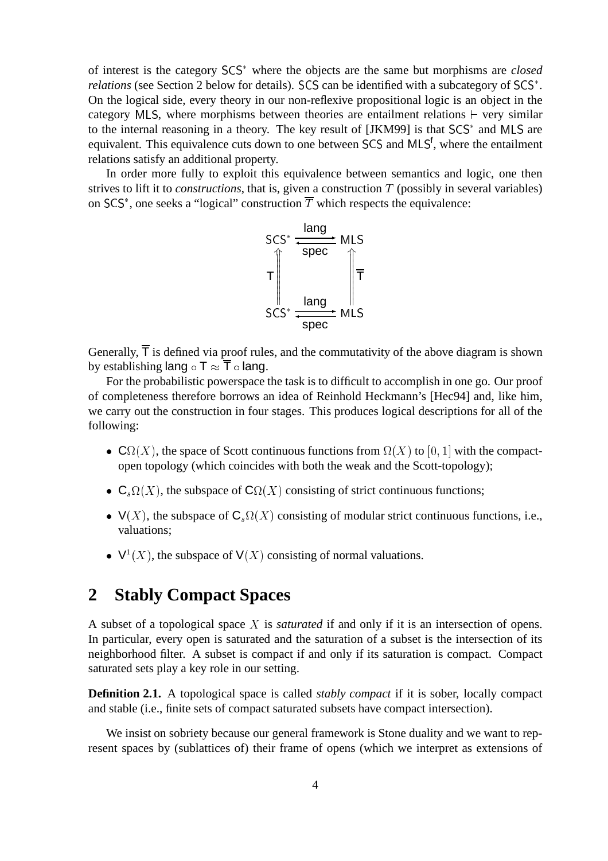of interest is the category SCS where the objects are the same but morphisms are *closed* relations (see Section 2 below for details). SCS can be identified with a subcategory of SCS<sup>\*</sup>. On the logical side, every theory in our non-reflexive propositional logic is an object in the category MLS, where morphisms between theories are entailment relations  $\vdash$  very similar to the internal reasoning in a theory. The key result of [JKM99] is that SCS and MLS are equivalent. This equivalence cuts down to one between SCS and MLS<sup>f</sup>, where the entailment relations satisfy an additional property.

In order more fully to exploit this equivalence between semantics and logic, one then strives to lift it to *constructions*, that is, given a construction  $T$  (possibly in several variables) on  $SCS^*$ , one seeks a "logical" construction T which respects the equivalence:



Generally,  $\overline{T}$  is defined via proof rules, and the commutativity of the above diagram is shown by establishing lang  $\circ$  T  $\approx$   $\overline{T}$   $\circ$  lang.

For the probabilistic powerspace the task is to difficult to accomplish in one go. Our proof of completeness therefore borrows an idea of Reinhold Heckmann's [Hec94] and, like him, we carry out the construction in four stages. This produces logical descriptions for all of the following:

- $\mathbf{C}\Omega(X)$ , the space of Scott continuous functions from  $\Omega(X)$  to  $[0, 1]$  with the compactopen topology (which coincides with both the weak and the Scott-topology);
- $C_s\Omega(X)$ , the subspace of  $C\Omega(X)$  consisting of strict continuous functions;
- $V(X)$ , the subspace of  $C_s\Omega(X)$  consisting of modular strict continuous functions, i.e., valuations;
- $V^1(X)$ , the subspace of  $V(X)$  consisting of normal valuations.

# **2 Stably Compact Spaces**

A subset of a topological space <sup>X</sup> is *saturated* if and only if it is an intersection of opens. In particular, every open is saturated and the saturation of a subset is the intersection of its neighborhood filter. A subset is compact if and only if its saturation is compact. Compact saturated sets play a key role in our setting.

**Definition 2.1.** A topological space is called *stably compact* if it is sober, locally compact and stable (i.e., finite sets of compact saturated subsets have compact intersection).

We insist on sobriety because our general framework is Stone duality and we want to represent spaces by (sublattices of) their frame of opens (which we interpret as extensions of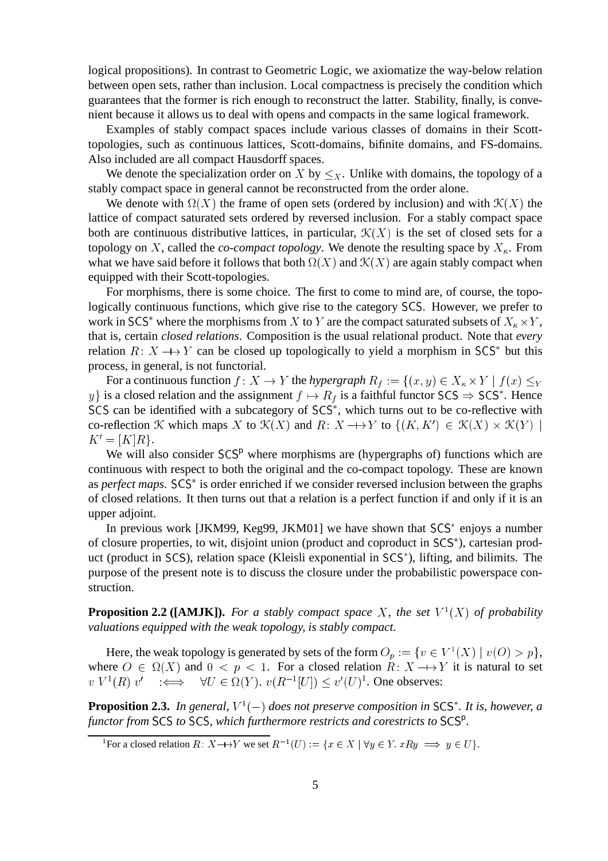logical propositions). In contrast to Geometric Logic, we axiomatize the way-below relation between open sets, rather than inclusion. Local compactness is precisely the condition which guarantees that the former is rich enough to reconstruct the latter. Stability, finally, is convenient because it allows us to deal with opens and compacts in the same logical framework.

Examples of stably compact spaces include various classes of domains in their Scotttopologies, such as continuous lattices, Scott-domains, bifinite domains, and FS-domains. Also included are all compact Hausdorff spaces.

We denote the specialization order on X by  $\leq_{x}$ . Unlike with domains, the topology of a stably compact space in general cannot be reconstructed from the order alone.

We denote with  $\Omega(X)$  the frame of open sets (ordered by inclusion) and with  $\mathcal{K}(X)$  the lattice of compact saturated sets ordered by reversed inclusion. For a stably compact space both are continuous distributive lattices, in particular,  $\mathcal{K}(X)$  is the set of closed sets for a topology on X, called the *co-compact topology*. We denote the resulting space by  $X_{\kappa}$ . From what we have said before it follows that both  $\Omega(X)$  and  $\mathcal{K}(X)$  are again stably compact when equipped with their Scott-topologies.

For morphisms, there is some choice. The first to come to mind are, of course, the topologically continuous functions, which give rise to the category SCS. However, we prefer to work in SCS<sup>\*</sup> where the morphisms from X to Y are the compact saturated subsets of  $X_{\kappa} \times Y$ , that is, certain *closed relations*. Composition is the usual relational product. Note that *every* relation  $R: X \longrightarrow Y$  can be closed up topologically to yield a morphism in SCS<sup>\*</sup> but this process, in general, is not functorial.

For a continuous function  $f\colon X\to Y$  the *hypergraph*  $R_f:=\{(x,y)\in X_\kappa\times Y\mid f(x)\leq_Y$ y} is a closed relation and the assignment  $f \mapsto R_f$  is a faithful functor SCS  $\Rightarrow$  SCS<sup>\*</sup>. Hence SCS can be identified with a subcategory of SCS , which turns out to be co-reflective with co-reflection K which maps X to  $\mathcal{K}(X)$  and  $R: X \longrightarrow Y$  to  $\{(K, K') \in \mathcal{K}(X) \times \mathcal{K}(Y) \mid$  $K' = [K]R$ .

We will also consider  $SCS<sup>p</sup>$  where morphisms are (hypergraphs of) functions which are continuous with respect to both the original and the co-compact topology. These are known as *perfect maps*. SCS<sup>\*</sup> is order enriched if we consider reversed inclusion between the graphs of closed relations. It then turns out that a relation is a perfect function if and only if it is an upper adjoint.

In previous work [JKM99, Keg99, JKM01] we have shown that SCS<sup>\*</sup> enjoys a number of closure properties, to wit, disjoint union (product and coproduct in SCS ), cartesian product (product in SCS), relation space (Kleisli exponential in SCS ), lifting, and bilimits. The purpose of the present note is to discuss the closure under the probabilistic powerspace construction.

**Proposition 2.2 ([AMJK]).** For a stably compact space X, the set  $V^1(X)$  of probability *valuations equipped with the weak topology, is stably compact.*

Here, the weak topology is generated by sets of the form  $O_p := \{v \in V^1(X) \mid v(O) > p\},$ where  $O \in \Omega(X)$  and  $0 \le p \le 1$ . For a closed relation  $R: X \longrightarrow Y$  it is natural to set  $v V^1(R) v' \iff \forall U \in \Omega(Y)$ .  $v(R^{-1}[U]) \leq v'(U)^1$ . One observes:

**Proposition 2.3.** In general,  $V^1(-)$  does not preserve composition in SCS\*. It is, however, a functor from SCS to SCS, which furthermore restricts and corestricts to SCS<sup>p</sup>.

<sup>1</sup>For a closed relation  $R: X \rightarrow Y$  we set  $R^{-1}(U) := \{x \in X \mid \forall y \in Y$ .  $xRy \implies y \in U\}$ .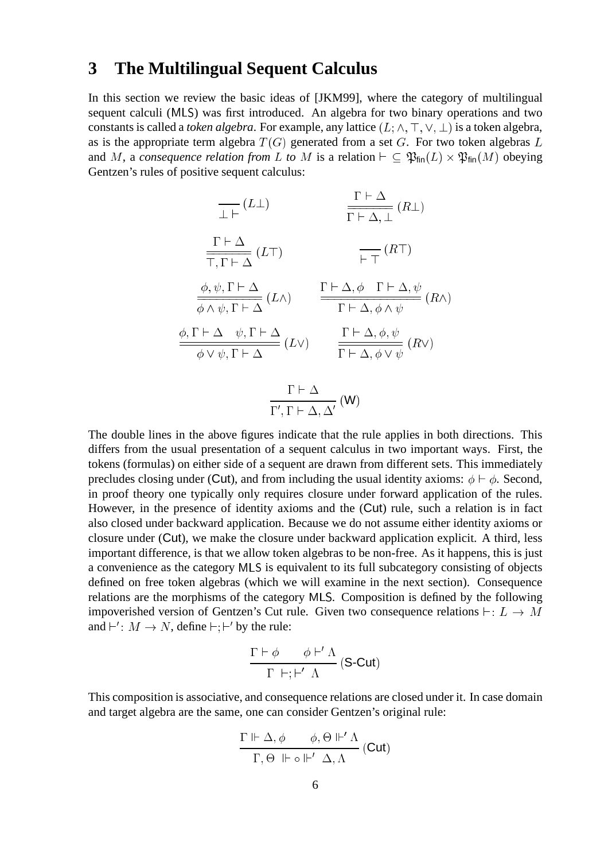#### **3 The Multilingual Sequent Calculus**

In this section we review the basic ideas of [JKM99], where the category of multilingual sequent calculi (MLS) was first introduced. An algebra for two binary operations and two constants is called a *token algebra*. For example, any lattice  $(L; \wedge, \top, \vee, \bot)$  is a token algebra, as is the appropriate term algebra  $T(G)$  generated from a set G. For two token algebras L and M, a *consequence relation from L to M* is a relation  $\vdash \subseteq \mathfrak{P}_{fin}(L) \times \mathfrak{P}_{fin}(M)$  obeying Gentzen's rules of positive sequent calculus:

$$
\frac{\Gamma \vdash \Delta}{\Gamma \vdash \Delta, \bot} (R\bot)
$$
\n
$$
\frac{\Gamma \vdash \Delta}{\Gamma \vdash \Delta, \bot} (R\bot)
$$
\n
$$
\frac{\Gamma \vdash \Delta}{\overline{\Gamma \vdash \Gamma \vdash \Delta}} (L\top)
$$
\n
$$
\frac{\phi, \psi, \Gamma \vdash \Delta}{\phi \land \psi, \Gamma \vdash \Delta} (L\land)
$$
\n
$$
\frac{\Gamma \vdash \Delta, \phi \Gamma \vdash \Delta, \psi}{\Gamma \vdash \Delta, \phi \land \psi} (R\land)
$$
\n
$$
\frac{\phi, \Gamma \vdash \Delta, \psi, \Gamma \vdash \Delta}{\phi \lor \psi, \Gamma \vdash \Delta} (L\lor)
$$
\n
$$
\frac{\Gamma \vdash \Delta, \phi, \psi}{\Gamma \vdash \Delta, \phi \lor \psi} (R\lor)
$$

$$
\frac{\Gamma \vdash \Delta}{\Gamma', \Gamma \vdash \Delta, \Delta'}(W)
$$

The double lines in the above figures indicate that the rule applies in both directions. This differs from the usual presentation of a sequent calculus in two important ways. First, the tokens (formulas) on either side of a sequent are drawn from different sets. This immediately precludes closing under (Cut), and from including the usual identity axioms:  $\phi \vdash \phi$ . Second, in proof theory one typically only requires closure under forward application of the rules. However, in the presence of identity axioms and the (Cut) rule, such a relation is in fact also closed under backward application. Because we do not assume either identity axioms or closure under (Cut), we make the closure under backward application explicit. A third, less important difference, is that we allow token algebras to be non-free. As it happens, this is just a convenience as the category MLS is equivalent to its full subcategory consisting of objects defined on free token algebras (which we will examine in the next section). Consequence relations are the morphisms of the category MLS. Composition is defined by the following impoverished version of Gentzen's Cut rule. Given two consequence relations  $\vdash : L \to M$ and  $\vdash' : M \to N$ , define  $\vdash; \vdash'$  by the rule:

$$
\frac{\Gamma \vdash \phi \qquad \phi \vdash' \Lambda}{\Gamma \vdash; \vdash' \Lambda} \text{ (S-Cut)}
$$

This composition is associative, and consequence relations are closed under it. In case domain and target algebra are the same, one can consider Gentzen's original rule:

$$
\frac{\Gamma \Vdash \Delta, \phi \qquad \phi, \Theta \Vdash' \Lambda}{\Gamma, \Theta \Vdash \circ \Vdash' \Delta, \Lambda} \text{(Cut)}
$$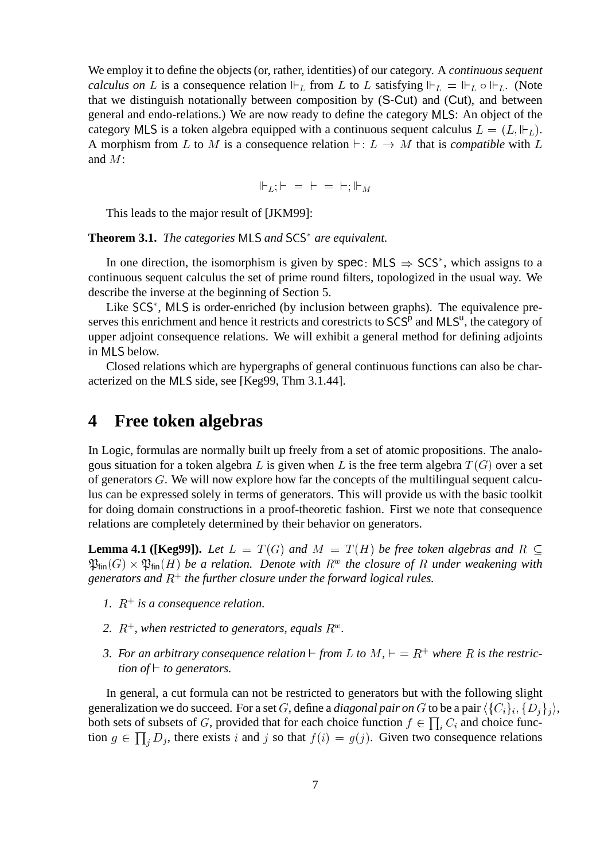We employ it to define the objects (or, rather, identities) of our category. A *continuous sequent calculus on* L is a consequence relation  $\Vdash_L$  from L to L satisfying  $\Vdash_L = \Vdash_L \circ \Vdash_L$ . (Note that we distinguish notationally between composition by (S-Cut) and (Cut), and between general and endo-relations.) We are now ready to define the category MLS: An object of the category MLS is a token algebra equipped with a continuous sequent calculus  $L = (L, \Vdash_L)$ . A morphism from L to M is a consequence relation  $\vdash : L \rightarrow M$  that is *compatible* with L and M:

$$
\Vdash_L; \vdash = \vdash = \vdash; \Vdash_M
$$

This leads to the major result of [JKM99]:

**Theorem 3.1.** *The categories* MLS *and* SCS *are equivalent.*

In one direction, the isomorphism is given by spec: MLS  $\Rightarrow$  SCS<sup>\*</sup>, which assigns to a continuous sequent calculus the set of prime round filters, topologized in the usual way. We describe the inverse at the beginning of Section 5.

Like SCS<sup>\*</sup>, MLS is order-enriched (by inclusion between graphs). The equivalence preserves this enrichment and hence it restricts and corestricts to SCS<sup>p</sup> and MLS<sup>u</sup>, the category of upper adjoint consequence relations. We will exhibit a general method for defining adjoints in MLS below.

Closed relations which are hypergraphs of general continuous functions can also be characterized on the MLS side, see [Keg99, Thm 3.1.44].

### **4 Free token algebras**

In Logic, formulas are normally built up freely from a set of atomic propositions. The analogous situation for a token algebra L is given when L is the free term algebra  $T(G)$  over a set of generators G. We will now explore how far the concepts of the multilingual sequent calculus can be expressed solely in terms of generators. This will provide us with the basic toolkit for doing domain constructions in a proof-theoretic fashion. First we note that consequence relations are completely determined by their behavior on generators.

**Lemma 4.1 ([Keg99]).** Let  $L = T(G)$  and  $M = T(H)$  be free token algebras and  $R \subseteq$  $\mathfrak{P}_{\mathsf{fin}}(G) \times \mathfrak{P}_{\mathsf{fin}}(H)$  be a relation. Denote with  $R^w$  the closure of R under weakening with *generators and* R<sup>+</sup> *the further closure under the forward logical rules.*

- 1.  $R^+$  is a consequence relation.
- 2.  $R^+$ , when restricted to generators, equals  $R^w$ .
- 3. For an arbitrary consequence relation  $\vdash$  from L to  $M$ ,  $\vdash$  =  $R^+$  where R is the restric*tion of*  $\vdash$  *to generators.*

In general, a cut formula can not be restricted to generators but with the following slight generalization we do succeed. For a set G, define a *diagonal pair on* G to be a pair  $\langle \{C_i\}_i, \{D_i\}_i \rangle$ , both sets of subsets of G, provided that for each choice function  $f \in \prod_i C_i$  and choice function  $g \in \prod_j D_j$ , there exists i and j so that  $f(i) = g(j)$ . Given two consequence relations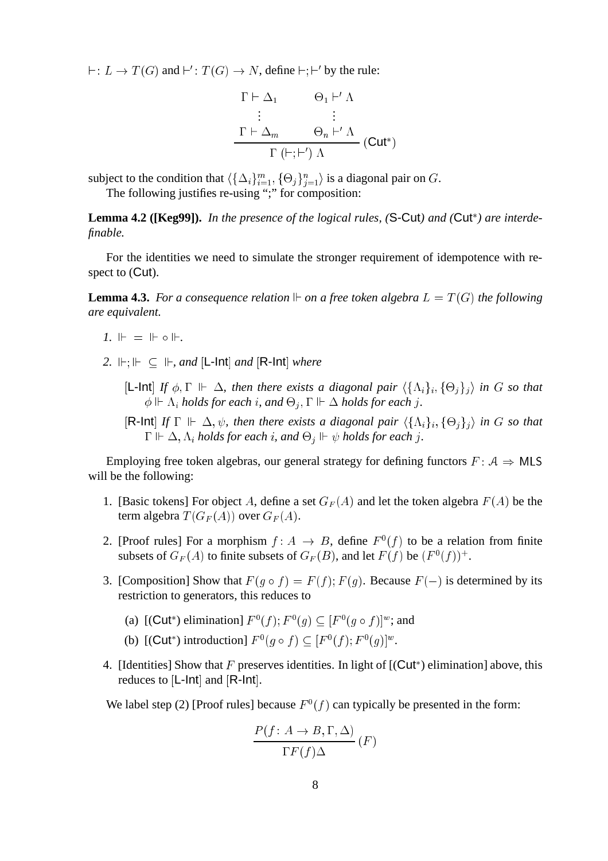$\vdash : L \to T(G)$  and  $\vdash' : T(G) \to N$ , define  $\vdash ; \vdash'$  by the rule:

$$
\Gamma \vdash \Delta_1 \qquad \Theta_1 \vdash' \Lambda
$$
\n
$$
\vdots \qquad \vdots
$$
\n
$$
\Gamma \vdash \Delta_m \qquad \Theta_n \vdash' \Lambda
$$
\n
$$
\Gamma \vdash; \vdash') \Lambda
$$
\n(Cut\*)

subject to the condition that  $\langle \{\Delta_i\}_{i=1}^m, \{\Theta_j\}_{j=1}^n \rangle$  is a diagonal pair on G.

The following justifies re-using ";" for composition:

Lemma 4.2 ([Keg99]). In the presence of the logical rules, (S-Cut) and (Cut<sup>\*</sup>) are interde*finable.*

For the identities we need to simulate the stronger requirement of idempotence with respect to (Cut).

**Lemma 4.3.** For a consequence relation  $\mathbb F$  on a free token algebra  $L = T(G)$  the following *are equivalent.*

- $1. \ \mathbb{F} = \mathbb{F} \circ \mathbb{F}$ .
- 2.  $\Vdash$ ;  $\Vdash \subseteq \Vdash$ , and  $[L$ -Int *and*  $[R$ -Int *where* 
	- $[L$ -Int] If  $\phi$ ,  $\Gamma \Vdash \Delta$ , then there exists a diagonal pair  $\langle \{\Lambda_i\}_i, \{\Theta_j\}_j \rangle$  in G so that  $\phi \Vdash \Lambda_i$  holds for each  $i$ , and  $\Theta_j, \Gamma \Vdash \Delta$  holds for each  $j.$
	- $[{\sf R\text{-}Int}]$  If  $\Gamma \Vdash \Delta$ ,  $\psi$ , then there exists a diagonal pair  $\langle {\{\Lambda_i\}}_i, {\{\Theta_j\}}_j \rangle$  in G so that  $\Gamma \Vdash \Delta, \Lambda_i$  holds for each  $i$ , and  $\Theta_j \Vdash \psi$  holds for each  $j.$

Employing free token algebras, our general strategy for defining functors  $F: A \Rightarrow MLS$ will be the following:

- 1. [Basic tokens] For object A, define a set  $G_F(A)$  and let the token algebra  $F(A)$  be the term algebra  $T(G_F(A))$  over  $G_F(A)$ .
- 2. [Proof rules] For a morphism  $f: A \to B$ , define  $F^0(f)$  to be a relation from finite subsets of  $G_F(A)$  to finite subsets of  $G_F(B)$ , and let  $F(f)$  be  $(F^0(f))^+$ .
- 3. [Composition] Show that  $F(g \circ f) = F(f); F(g)$ . Because  $F(-)$  is determined by its restriction to generators, this reduces to
	- (a)  $[(\text{Cut}^*)$  elimination]  $F^0(f); F^0(g) \subseteq [F^0(g \circ f)]^w$ ; and
	- (b)  $[(\text{Cut}^*)$  introduction]  $F^0(g \circ f) \subseteq [F^0(f); F^0(g)]^w$ .
- 4. [Identities] Show that F preserves identities. In light of  $[(\text{Cut}^*)$  elimination] above, this reduces to  $[L-Int]$  and  $[R-Int]$ .

We label step (2) [Proof rules] because  $F^0(f)$  can typically be presented in the form:

$$
\frac{P(f: A \to B, \Gamma, \Delta)}{\Gamma F(f) \Delta} (F)
$$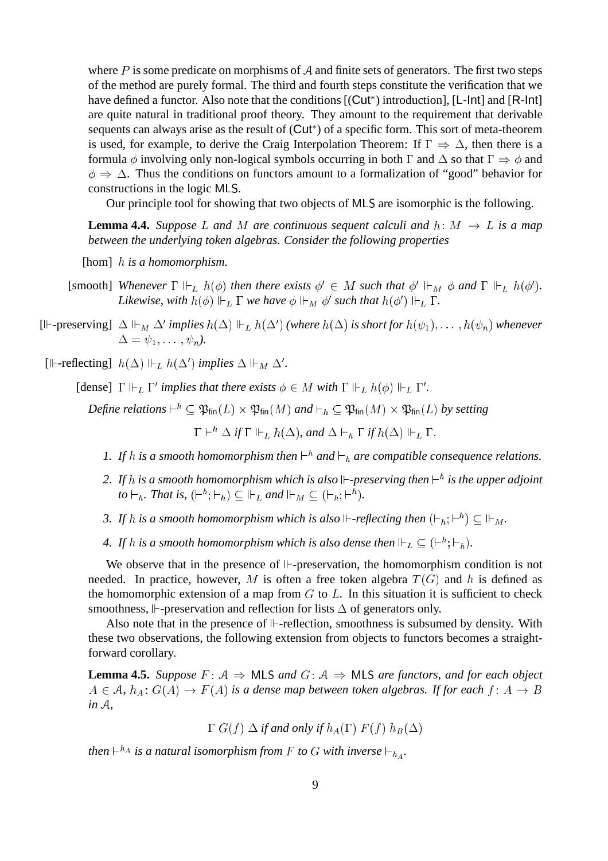where  $P$  is some predicate on morphisms of  $A$  and finite sets of generators. The first two steps of the method are purely formal. The third and fourth steps constitute the verification that we have defined a functor. Also note that the conditions [(Cut<sup>\*</sup>) introduction], [L-lnt] and [R-lnt] are quite natural in traditional proof theory. They amount to the requirement that derivable sequents can always arise as the result of (Cut\*) of a specific form. This sort of meta-theorem is used, for example, to derive the Craig Interpolation Theorem: If  $\Gamma \Rightarrow \Delta$ , then there is a formula  $\phi$  involving only non-logical symbols occurring in both  $\Gamma$  and  $\Delta$  so that  $\Gamma \Rightarrow \phi$  and  $\phi \Rightarrow \Delta$ . Thus the conditions on functors amount to a formalization of "good" behavior for constructions in the logic MLS.

Our principle tool for showing that two objects of MLS are isomorphic is the following.

**Lemma 4.4.** *Suppose* L and M are continuous sequent calculi and  $h: M \rightarrow L$  is a map *between the underlying token algebras. Consider the following properties*

[hom] <sup>h</sup> *is a homomorphism.*

- [smooth] Whenever  $\Gamma \Vdash_L h(\phi)$  then there exists  $\phi' \in M$  such that  $\phi' \Vdash_M \phi$  and  $\Gamma \Vdash_L h(\phi')$ . *Likewise, with*  $h(\phi) \Vdash_L \Gamma$  *we have*  $\phi \Vdash_M \phi'$  *such that*  $h(\phi') \Vdash_L \Gamma$ *.*
- $[\exists \vdash \text{-preserving}] \ \Delta \Vdash_M \Delta'$  implies  $h(\Delta) \Vdash_L h(\Delta')$  (where  $h(\Delta)$  is short for  $h(\psi_1), \ldots, h(\psi_n)$  whenever  $\Delta = \psi_1, \ldots, \psi_n$ .
- [ $\Vdash$ -reflecting]  $h(\Delta) \Vdash_L h(\Delta')$  implies  $\Delta \Vdash_M \Delta'$ .

[dense]  $\Gamma \Vdash_L \Gamma'$  *implies that there exists*  $\phi \in M$  *with*  $\Gamma \Vdash_L h(\phi) \Vdash_L \Gamma'.$ 

 $\Delta$ *Define relations*  $\vdash^h\subseteq \mathfrak{P}_{\mathsf{fin}}(L)\times \mathfrak{P}_{\mathsf{fin}}(M)$  and  $\vdash_h\subseteq \mathfrak{P}_{\mathsf{fin}}(M)\times \mathfrak{P}_{\mathsf{fin}}(L)$  by setting  $\Gamma\vdash^h\Delta if \Gamma\Vdash_L h(\Delta)$ , and  $\Delta\vdash_h\Gamma if h(\Delta)\Vdash_L\Gamma$ .

- 1. If h is a smooth homomorphism then  $\vdash^h$  and  $\vdash_h$  are compatible consequence relations.
- 2. If  $h$  is a smooth homomorphism which is also  $\mathrel{\Vdash}\cdot$  preserving then  $\mathrel{\vdash}^h$  is the upper adjoint *to*  $\vdash_h$ *. That is,*  $(\vdash^h; \vdash_h) \subseteq \vdash_L$  *and*  $\vdash_M \subseteq (\vdash_h; \vdash^h)$ *.*
- 3. If h is a smooth homomorphism which is also  $\mathbb{H}\text{-reflecting}$  then  $(\vdash_h; \vdash^h) \subseteq \mathbb{H}_M$ .
- 4. If h is a smooth homomorphism which is also dense then  $\mathbb{H}_L \subseteq (\mathbb{H}^h; \mathbb{H}_h)$ .

We observe that in the presence of  $\mathbb{I}$ -preservation, the homomorphism condition is not needed. In practice, however, M is often a free token algebra  $T(G)$  and h is defined as the homomorphic extension of a map from  $G$  to  $L$ . In this situation it is sufficient to check smoothness,  $\mathbb{H}\text{-}preservation$  and reflection for lists  $\Delta$  of generators only.

Also note that in the presence of  $\mathbb{H}\text{-reflection}$ , smoothness is subsumed by density. With these two observations, the following extension from objects to functors becomes a straightforward corollary.

**Lemma 4.5.** *Suppose*  $F: A \Rightarrow \text{MLS}$  *and*  $G: A \Rightarrow \text{MLS}$  *are functors, and for each object*  $A \in \mathcal{A}$ ,  $h_A : G(A) \to F(A)$  *is a dense map between token algebras. If for each*  $f : A \to B$ *in* <sup>A</sup>*,*

 $\Gamma G(f) \Delta$  if and only if  $h_A(\Gamma) F(f) h_B(\Delta)$ 

then  $\vdash^{h_A}$  is a natural isomorphism from  $F$  to  $G$  with inverse  $\vdash_{h_A}$ .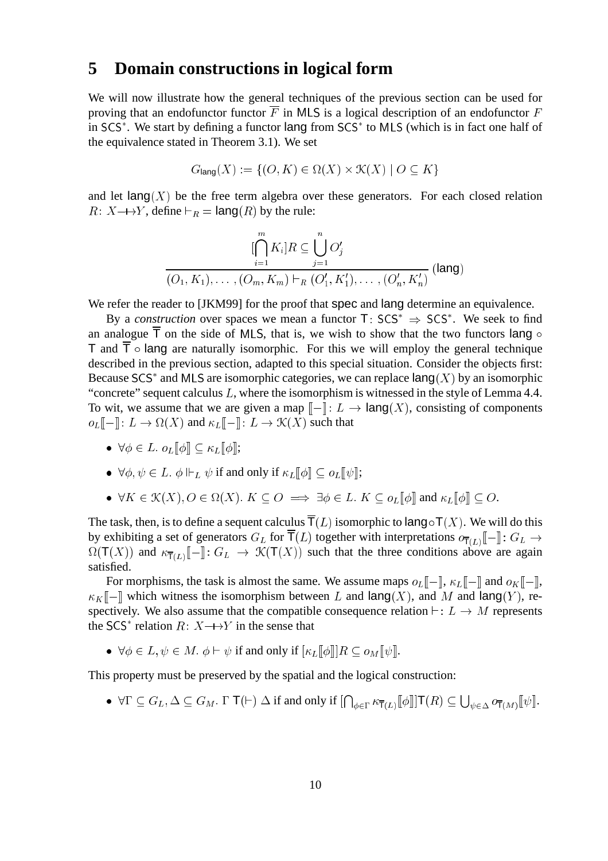#### **5 Domain constructions in logical form**

We will now illustrate how the general techniques of the previous section can be used for proving that an endofunctor functor  $\overline{F}$  in MLS is a logical description of an endofunctor  $F$ in SCS . We start by defining a functor lang from SCS to MLS (which is in fact one half of the equivalence stated in Theorem 3.1). We set

$$
G_{\text{lang}}(X) := \{ (O, K) \in \Omega(X) \times \mathcal{K}(X) \mid O \subseteq K \}
$$

and let  $\text{lang}(X)$  be the free term algebra over these generators. For each closed relation  $R: X \rightarrow Y$ , define  $\vdash_R = \text{lang}(R)$  by the rule:

$$
\underbrace{\bigcap_{i=1}^{m} K_i \big] R}_{(O_1, K_1), \dots, (O_m, K_m) \vdash_R (O'_1, K'_1), \dots, (O'_n, K'_n)}
$$
 (lang)

We refer the reader to [JKM99] for the proof that spec and lang determine an equivalence.

By a *construction* over spaces we mean a functor  $T:$  SCS<sup>\*</sup>  $\Rightarrow$  SCS<sup>\*</sup>. We seek to find an analogue  $\overline{T}$  on the side of MLS, that is, we wish to show that the two functors lang  $\circ$ T and  $\overline{T}$   $\circ$  lang are naturally isomorphic. For this we will employ the general technique described in the previous section, adapted to this special situation. Consider the objects first: Because SCS<sup>\*</sup> and MLS are isomorphic categories, we can replace  $\text{lang}(X)$  by an isomorphic "concrete" sequent calculus  $L$ , where the isomorphism is witnessed in the style of Lemma 4.4. To wit, we assume that we are given a map  $\llbracket - \rrbracket$ :  $L \to \text{lang}(X)$ , consisting of components  $o_L[[-]]: L \to \Omega(X)$  and  $\kappa_L[[-]]: L \to \mathcal{K}(X)$  such that

 $\bullet \ \forall \phi \in L. \ o_L[\![\phi]\!] \subset \kappa_L[\![\phi]\!]$ ;

• 
$$
\forall \phi, \psi \in L
$$
.  $\phi \Vdash_L \psi$  if and only if  $\kappa_L[\![\phi]\!]$   $\subseteq o_L[\![\psi]\!]$ ;

• 
$$
\forall K \in \mathcal{K}(X), O \in \Omega(X)
$$
.  $K \subseteq O \implies \exists \phi \in L$ .  $K \subseteq o_L[\![\phi]\!]$  and  $\kappa_L[\![\phi]\!]$   $\subseteq O$ .

The task, then, is to define a sequent calculus  $\overline{T}(L)$  isomorphic to lang  $\circ T(X)$ . We will do this by exhibiting a set of generators  $G_L$  for  $\mathsf{T}(L)$  together with interpretations  $o_{\overline{\mathsf{T}}(L)}[\![-\!]: G_L \to$  $\Omega(T(X))$  and  $\kappa_{\overline{T}(L)}\llbracket - \rrbracket$ :  $G_L \to \mathcal{K}(T(X))$  such that the three conditions above are again satisfied.

For morphisms, the task is almost the same. We assume maps  $o_L\llbracket - \rrbracket$ ,  $\kappa_L\llbracket -\rrbracket$  and  $o_K\llbracket -\rrbracket$ ,  $\kappa_K$  – which witness the isomorphism between L and lang(X), and M and lang(Y), respectively. We also assume that the compatible consequence relation  $\vdash : L \to M$  represents the SCS<sup>\*</sup> relation  $R: X \rightarrow Y$  in the sense that

 $\bullet \ \forall \phi \in L, \psi \in M. \ \phi \vdash \psi \text{ if and only if } [\kappa_L[\![\phi]\!]]R \subseteq o_M[\![\psi]\!].$ 

This property must be preserved by the spatial and the logical construction:

•  $\forall \Gamma \subseteq G_L, \Delta \subseteq G_M$ .  $\Gamma \top (\vdash) \Delta$  if and only if  $[\bigcap_{\phi \in \Gamma} \kappa_{\overline{\top}(L)} [\phi]] \top (R) \subseteq \bigcup_{\psi \in \Delta} o_{\overline{\top}(M)} [\psi]$ .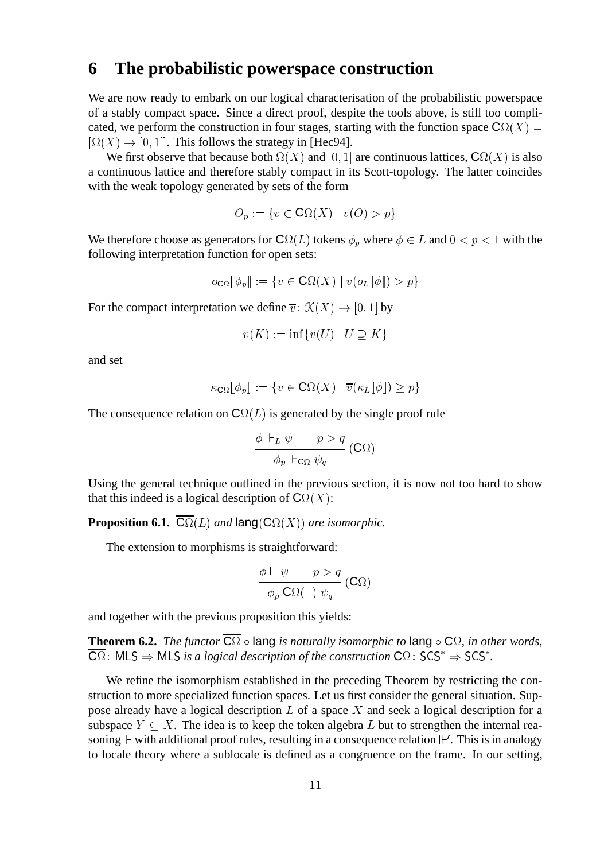# **6 The probabilistic powerspace construction**

We are now ready to embark on our logical characterisation of the probabilistic powerspace of a stably compact space. Since a direct proof, despite the tools above, is still too complicated, we perform the construction in four stages, starting with the function space  $\mathbf{C}\Omega(X)$  =  $[\Omega(X) \to [0, 1]]$ . This follows the strategy in [Hec94].

We first observe that because both  $\Omega(X)$  and  $[0, 1]$  are continuous lattices,  $\mathbb{C}\Omega(X)$  is also a continuous lattice and therefore stably compact in its Scott-topology. The latter coincides with the weak topology generated by sets of the form

$$
O_p := \{ v \in \mathbf{C}\Omega(X) \mid v(O) > p \}
$$

We therefore choose as generators for  $\mathbf{C}\Omega(L)$  tokens  $\phi_p$  where  $\phi \in L$  and  $0 < p < 1$  with the following interpretation function for open sets:

$$
o_{\mathbf{C}\Omega}[\![\phi_p]\!] := \{ v \in \mathbf{C}\Omega(X) \mid v(o_L[\![\phi]\!]) > p \}
$$

For the compact interpretation we define  $\overline{v}$  :  $\mathcal{K}(X) \rightarrow [0, 1]$  by

$$
\overline{v}(K) := \inf \{ v(U) \mid U \supseteq K \}
$$

and set

$$
\kappa_{\mathbf{C}\Omega}[\![\phi_p]\!] := \{ v \in \mathbf{C}\Omega(X) \mid \overline{v}(\kappa_L[\![\phi]\!]) \ge p \}
$$

The consequence relation on  $C\Omega(L)$  is generated by the single proof rule

$$
\frac{\phi \Vdash_L \psi \qquad p > q}{\phi_p \Vdash_{\mathsf{C}\Omega} \psi_q} (\mathsf{C}\Omega)
$$

Using the general technique outlined in the previous section, it is now not too hard to show that this indeed is a logical description of  $\mathbf{C}\Omega(X)$ :

**Proposition 6.1.**  $\mathbb{C}\Omega(L)$  *and* lang( $\mathbb{C}\Omega(X)$ ) *are isomorphic.* 

The extension to morphisms is straightforward:

$$
\frac{\phi \vdash \psi \qquad p > q}{\phi_p \mathbf{C}\Omega(\vdash) \psi_q} \left(\mathbf{C}\Omega\right)
$$

and together with the previous proposition this yields:

**Theorem 6.2.** *The functor*  $C\Omega$   $\circ$  lang *is naturally isomorphic to* lang  $\circ C\Omega$ *, in other words,*  $C\Omega$ : MLS  $\Rightarrow$  MLS *is a logical description of the construction*  $C\Omega$ : SCS<sup>\*</sup>  $\Rightarrow$  SCS<sup>\*</sup>.

We refine the isomorphism established in the preceding Theorem by restricting the construction to more specialized function spaces. Let us first consider the general situation. Suppose already have a logical description  $L$  of a space  $X$  and seek a logical description for a subspace  $Y \subset X$ . The idea is to keep the token algebra L but to strengthen the internal reasoning  $\Vdash$  with additional proof rules, resulting in a consequence relation  $\Vdash'$ . This is in analogy to locale theory where a sublocale is defined as a congruence on the frame. In our setting,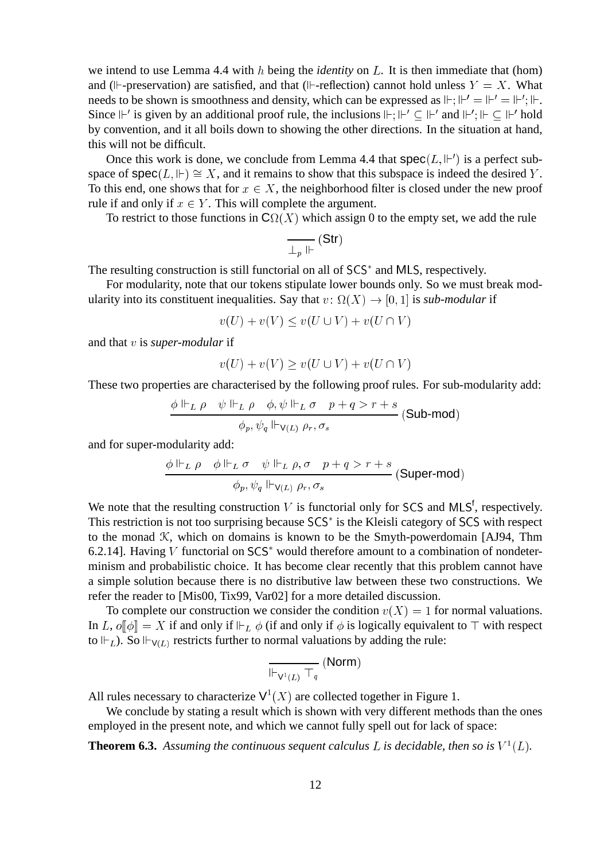we intend to use Lemma 4.4 with h being the *identity* on L. It is then immediate that (hom) and ( $\mathbb{I}$ -preservation) are satisfied, and that ( $\mathbb{I}$ -reflection) cannot hold unless  $Y = X$ . What needs to be shown is smoothness and density, which can be expressed as  $\mathbb{H}$ ;  $\mathbb{H}' = \mathbb{H}'$ ;  $\mathbb{H}$ . Since  $\Vdash'$  is given by an additional proof rule, the inclusions  $\Vdash; \Vdash' \subseteq \Vdash'$  and  $\Vdash'; \Vdash \subseteq \Vdash'$  hold by convention, and it all boils down to showing the other directions. In the situation at hand, this will not be difficult.

Once this work is done, we conclude from Lemma 4.4 that  $spec(L, \mathbb{H}^{\prime})$  is a perfect subspace of  $\text{spec}(L, \mathbb{H}) \cong X$ , and it remains to show that this subspace is indeed the desired Y. To this end, one shows that for  $x \in X$ , the neighborhood filter is closed under the new proof rule if and only if  $x \in Y$ . This will complete the argument.

To restrict to those functions in  $C\Omega(X)$  which assign 0 to the empty set, we add the rule

$$
\overline{\perp_p \Vdash}(\mathsf{Str})
$$

The resulting construction is still functorial on all of SCS and MLS, respectively.

For modularity, note that our tokens stipulate lower bounds only. So we must break modularity into its constituent inequalities. Say that  $v: \Omega(X) \to [0, 1]$  is *sub-modular* if

 $v(U) + v(V) \le v(U \cup V) + v(U \cap V)$ 

and that v is *super-modular* if

$$
v(U) + v(V) \ge v(U \cup V) + v(U \cap V)
$$

These two properties are characterised by the following proof rules. For sub-modularity add:

$$
\frac{\phi \Vdash_L \rho \quad \psi \Vdash_L \rho \quad \phi, \psi \Vdash_L \sigma \quad p+q>r+s}{\phi_p, \psi_q \Vdash_{\mathsf{V}(L)} \rho_r, \sigma_s} \text{ (Sub-mod)}
$$

and for super-modularity add:

$$
\frac{\phi \Vdash_L \rho \quad \phi \Vdash_L \sigma \quad \psi \Vdash_L \rho, \sigma \quad p+q>r+s}{\phi_p, \psi_q \Vdash_{\mathsf{V}(L)} \rho_r, \sigma_s} \text{ (Super-mod)}
$$

We note that the resulting construction  $V$  is functorial only for SCS and MLS<sup>f</sup>, respectively. This restriction is not too surprising because SCS is the Kleisli category of SCS with respect to the monad  $K$ , which on domains is known to be the Smyth-powerdomain [AJ94, Thm 6.2.14]. Having  $V$  functorial on  $SCS^*$  would therefore amount to a combination of nondeterminism and probabilistic choice. It has become clear recently that this problem cannot have a simple solution because there is no distributive law between these two constructions. We refer the reader to [Mis00, Tix99, Var02] for a more detailed discussion.

To complete our construction we consider the condition  $v(X) = 1$  for normal valuations. In L,  $o||\phi|| = X$  if and only if  $\Vdash_L \phi$  (if and only if  $\phi$  is logically equivalent to  $\top$  with respect to  $\Vdash_L$ ). So  $\Vdash_{V(L)}$  restricts further to normal valuations by adding the rule:

$$
\overline{\Vdash_{\mathsf{V}^1(L)}\top_q}~(\mathsf{Norm})
$$

All rules necessary to characterize  $V^1(X)$  are collected together in Figure 1.

We conclude by stating a result which is shown with very different methods than the ones employed in the present note, and which we cannot fully spell out for lack of space:

**Theorem 6.3.** Assuming the continuous sequent calculus L is decidable, then so is  $V^1(L)$ .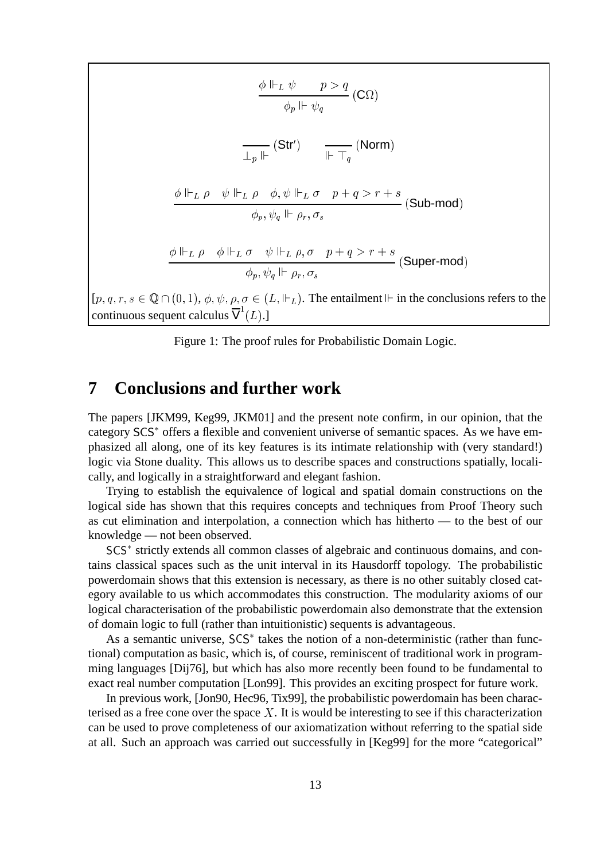$$
\frac{\phi \Vdash_L \psi \qquad p > q}{\phi_p \Vdash \psi_q} \text{ (C}\Omega)
$$
\n
$$
\frac{\frac{\phi \Vdash_L \psi}{\frac{\Gamma_p \Vdash}} (\text{Str}')}{\frac{\phi \Vdash_L \rho \qquad \psi \Vdash_L \rho \qquad \phi, \psi \Vdash_L \sigma \qquad p+q > r+s}{\phi_p, \psi_q \Vdash \rho_r, \sigma_s} \text{ (Sub-mod)}
$$
\n
$$
\frac{\phi \Vdash_L \rho \qquad \phi \Vdash_L \sigma \qquad \psi \Vdash_L \rho, \sigma \qquad p+q > r+s}{\phi_p, \psi_q \Vdash \rho_r, \sigma_s} \text{ (Super-mod)}
$$
\n
$$
[p, q, r, s \in \mathbb{Q} \cap (0, 1), \phi, \psi, \rho, \sigma \in (L, \Vdash_L). \text{ The entailment } \Vdash \text{ in the conclusions refers to the continuous sequent calculus } \overline{V}^1(L).]
$$

Figure 1: The proof rules for Probabilistic Domain Logic.

#### **7 Conclusions and further work**

The papers [JKM99, Keg99, JKM01] and the present note confirm, in our opinion, that the category SCS<sup>\*</sup> offers a flexible and convenient universe of semantic spaces. As we have emphasized all along, one of its key features is its intimate relationship with (very standard!) logic via Stone duality. This allows us to describe spaces and constructions spatially, localically, and logically in a straightforward and elegant fashion.

Trying to establish the equivalence of logical and spatial domain constructions on the logical side has shown that this requires concepts and techniques from Proof Theory such as cut elimination and interpolation, a connection which has hitherto — to the best of our knowledge — not been observed.

SCS strictly extends all common classes of algebraic and continuous domains, and contains classical spaces such as the unit interval in its Hausdorff topology. The probabilistic powerdomain shows that this extension is necessary, as there is no other suitably closed category available to us which accommodates this construction. The modularity axioms of our logical characterisation of the probabilistic powerdomain also demonstrate that the extension of domain logic to full (rather than intuitionistic) sequents is advantageous.

As a semantic universe,  $SCS^*$  takes the notion of a non-deterministic (rather than functional) computation as basic, which is, of course, reminiscent of traditional work in programming languages [Dij76], but which has also more recently been found to be fundamental to exact real number computation [Lon99]. This provides an exciting prospect for future work.

In previous work, [Jon90, Hec96, Tix99], the probabilistic powerdomain has been characterised as a free cone over the space  $X$ . It is would be interesting to see if this characterization can be used to prove completeness of our axiomatization without referring to the spatial side at all. Such an approach was carried out successfully in [Keg99] for the more "categorical"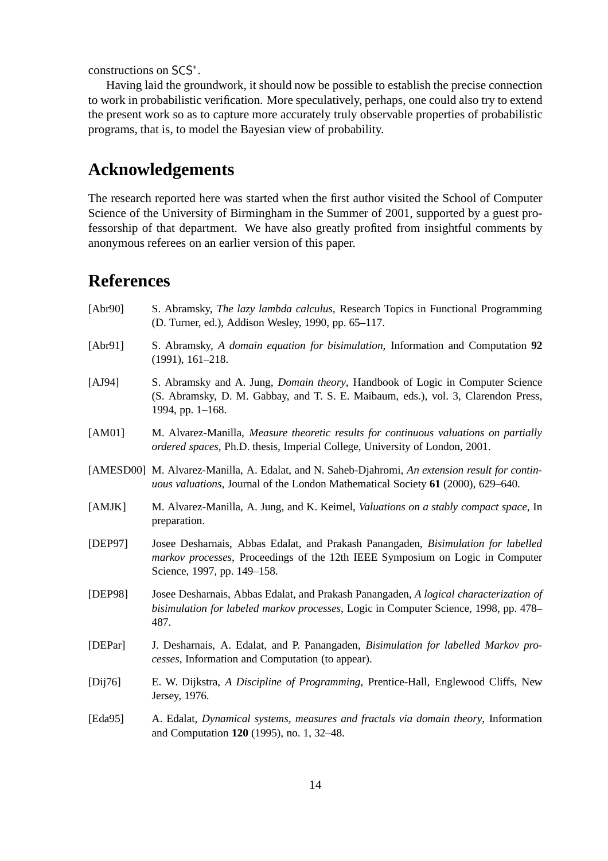constructions on SCS .

Having laid the groundwork, it should now be possible to establish the precise connection to work in probabilistic verification. More speculatively, perhaps, one could also try to extend the present work so as to capture more accurately truly observable properties of probabilistic programs, that is, to model the Bayesian view of probability.

# **Acknowledgements**

The research reported here was started when the first author visited the School of Computer Science of the University of Birmingham in the Summer of 2001, supported by a guest professorship of that department. We have also greatly profited from insightful comments by anonymous referees on an earlier version of this paper.

# **References**

| [Abr90]     | S. Abramsky, The lazy lambda calculus, Research Topics in Functional Programming<br>(D. Turner, ed.), Addison Wesley, 1990, pp. 65-117.                                                                   |
|-------------|-----------------------------------------------------------------------------------------------------------------------------------------------------------------------------------------------------------|
| [Abr91]     | S. Abramsky, A domain equation for bisimulation, Information and Computation 92<br>$(1991), 161-218.$                                                                                                     |
| [AJ94]      | S. Abramsky and A. Jung, <i>Domain theory</i> , Handbook of Logic in Computer Science<br>(S. Abramsky, D. M. Gabbay, and T. S. E. Maibaum, eds.), vol. 3, Clarendon Press,<br>1994, pp. 1-168.            |
| [AM01]      | M. Alvarez-Manilla, Measure theoretic results for continuous valuations on partially<br>ordered spaces, Ph.D. thesis, Imperial College, University of London, 2001.                                       |
|             | [AMESD00] M. Alvarez-Manilla, A. Edalat, and N. Saheb-Djahromi, An extension result for contin-<br>uous valuations, Journal of the London Mathematical Society 61 (2000), 629-640.                        |
| [AMJK]      | M. Alvarez-Manilla, A. Jung, and K. Keimel, <i>Valuations on a stably compact space</i> , In<br>preparation.                                                                                              |
| [DEP97]     | Josee Desharnais, Abbas Edalat, and Prakash Panangaden, Bisimulation for labelled<br><i>markov processes</i> , Proceedings of the 12th IEEE Symposium on Logic in Computer<br>Science, 1997, pp. 149–158. |
| [DEP98]     | Josee Desharnais, Abbas Edalat, and Prakash Panangaden, A logical characterization of<br>bisimulation for labeled markov processes, Logic in Computer Science, 1998, pp. 478–<br>487.                     |
| [DEPar]     | J. Desharnais, A. Edalat, and P. Panangaden, Bisimulation for labelled Markov pro-<br>cesses, Information and Computation (to appear).                                                                    |
| [Dij76]     | E. W. Dijkstra, A Discipline of Programming, Prentice-Hall, Englewood Cliffs, New<br>Jersey, 1976.                                                                                                        |
| [Eda $95$ ] | A. Edalat, Dynamical systems, measures and fractals via domain theory, Information<br>and Computation 120 (1995), no. 1, 32–48.                                                                           |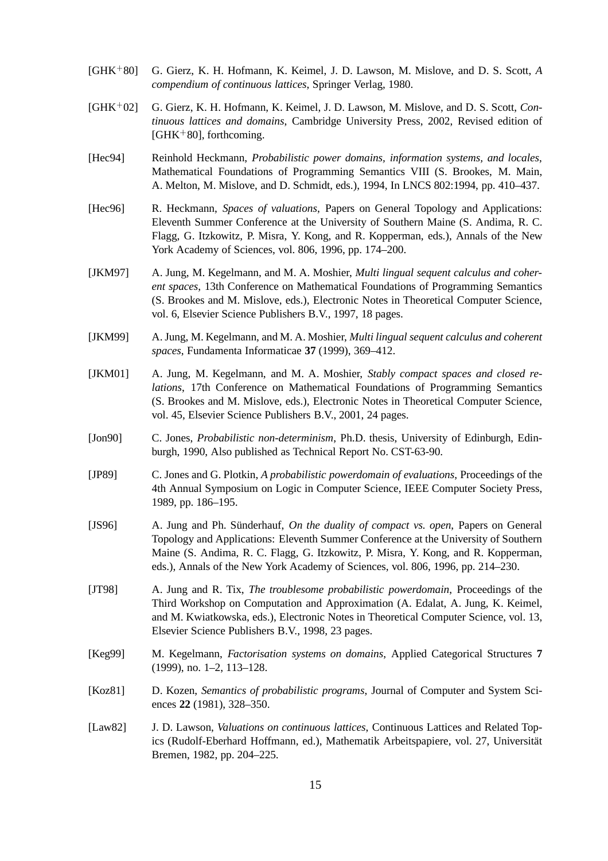- $[GHK+80]$ 80] G. Gierz, K. H. Hofmann, K. Keimel, J. D. Lawson, M. Mislove, and D. S. Scott, *A compendium of continuous lattices*, Springer Verlag, 1980.
- $[GHK+02]$ 02] G. Gierz, K. H. Hofmann, K. Keimel, J. D. Lawson, M. Mislove, and D. S. Scott, *Continuous lattices and domains*, Cambridge University Press, 2002, Revised edition of  $[GHK<sup>+</sup>80]$ , forthcoming.
- [Hec94] Reinhold Heckmann, *Probabilistic power domains, information systems, and locales*, Mathematical Foundations of Programming Semantics VIII (S. Brookes, M. Main, A. Melton, M. Mislove, and D. Schmidt, eds.), 1994, In LNCS 802:1994, pp. 410–437.
- [Hec96] R. Heckmann, *Spaces of valuations*, Papers on General Topology and Applications: Eleventh Summer Conference at the University of Southern Maine (S. Andima, R. C. Flagg, G. Itzkowitz, P. Misra, Y. Kong, and R. Kopperman, eds.), Annals of the New York Academy of Sciences, vol. 806, 1996, pp. 174–200.
- [JKM97] A. Jung, M. Kegelmann, and M. A. Moshier, *Multi lingual sequent calculus and coherent spaces*, 13th Conference on Mathematical Foundations of Programming Semantics (S. Brookes and M. Mislove, eds.), Electronic Notes in Theoretical Computer Science, vol. 6, Elsevier Science Publishers B.V., 1997, 18 pages.
- [JKM99] A. Jung, M. Kegelmann, and M. A. Moshier, *Multi lingual sequent calculus and coherent spaces*, Fundamenta Informaticae **37** (1999), 369–412.
- [JKM01] A. Jung, M. Kegelmann, and M. A. Moshier, *Stably compact spaces and closed relations*, 17th Conference on Mathematical Foundations of Programming Semantics (S. Brookes and M. Mislove, eds.), Electronic Notes in Theoretical Computer Science, vol. 45, Elsevier Science Publishers B.V., 2001, 24 pages.
- [Jon90] C. Jones, *Probabilistic non-determinism*, Ph.D. thesis, University of Edinburgh, Edinburgh, 1990, Also published as Technical Report No. CST-63-90.
- [JP89] C. Jones and G. Plotkin, *A probabilistic powerdomain of evaluations*, Proceedings of the 4th Annual Symposium on Logic in Computer Science, IEEE Computer Society Press, 1989, pp. 186–195.
- [JS96] A. Jung and Ph. Sünderhauf, *On the duality of compact vs. open*, Papers on General Topology and Applications: Eleventh Summer Conference at the University of Southern Maine (S. Andima, R. C. Flagg, G. Itzkowitz, P. Misra, Y. Kong, and R. Kopperman, eds.), Annals of the New York Academy of Sciences, vol. 806, 1996, pp. 214–230.
- [JT98] A. Jung and R. Tix, *The troublesome probabilistic powerdomain*, Proceedings of the Third Workshop on Computation and Approximation (A. Edalat, A. Jung, K. Keimel, and M. Kwiatkowska, eds.), Electronic Notes in Theoretical Computer Science, vol. 13, Elsevier Science Publishers B.V., 1998, 23 pages.
- [Keg99] M. Kegelmann, *Factorisation systems on domains*, Applied Categorical Structures **7** (1999), no. 1–2, 113–128.
- [Koz81] D. Kozen, *Semantics of probabilistic programs*, Journal of Computer and System Sciences **22** (1981), 328–350.
- [Law82] J. D. Lawson, *Valuations on continuous lattices*, Continuous Lattices and Related Topics (Rudolf-Eberhard Hoffmann, ed.), Mathematik Arbeitspapiere, vol. 27, Universität Bremen, 1982, pp. 204–225.